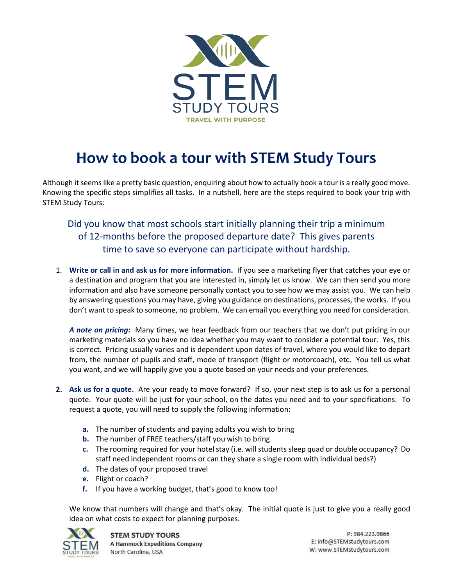

## **How to book a tour with STEM Study Tours**

Although it seems like a pretty basic question, enquiring about how to actually book a tour is a really good move. Knowing the specific steps simplifies all tasks. In a nutshell, here are the steps required to book your trip with STEM Study Tours:

Did you know that most schools start initially planning their trip a minimum of 12-months before the proposed departure date? This gives parents time to save so everyone can participate without hardship.

1. **Write or call in and ask us for more information.** If you see a marketing flyer that catches your eye or a destination and program that you are interested in, simply let us know. We can then send you more information and also have someone personally contact you to see how we may assist you. We can help by answering questions you may have, giving you guidance on destinations, processes, the works. If you don't want to speak to someone, no problem. We can email you everything you need for consideration.

*A note on pricing:* Many times, we hear feedback from our teachers that we don't put pricing in our marketing materials so you have no idea whether you may want to consider a potential tour. Yes, this is correct. Pricing usually varies and is dependent upon dates of travel, where you would like to depart from, the number of pupils and staff, mode of transport (flight or motorcoach), etc. You tell us what you want, and we will happily give you a quote based on your needs and your preferences.

- **2. Ask us for a quote.** Are your ready to move forward? If so, your next step is to ask us for a personal quote. Your quote will be just for your school, on the dates you need and to your specifications. To request a quote, you will need to supply the following information:
	- **a.** The number of students and paying adults you wish to bring
	- **b.** The number of FREE teachers/staff you wish to bring
	- **c.** The rooming required for your hotel stay (i.e. will students sleep quad or double occupancy? Do staff need independent rooms or can they share a single room with individual beds?)
	- **d.** The dates of your proposed travel
	- **e.** Flight or coach?
	- **f.** If you have a working budget, that's good to know too!

We know that numbers will change and that's okay. The initial quote is just to give you a really good idea on what costs to expect for planning purposes.



P: 984.223.9866 E: info@STEMstudytours.com W: www.STEMstudytours.com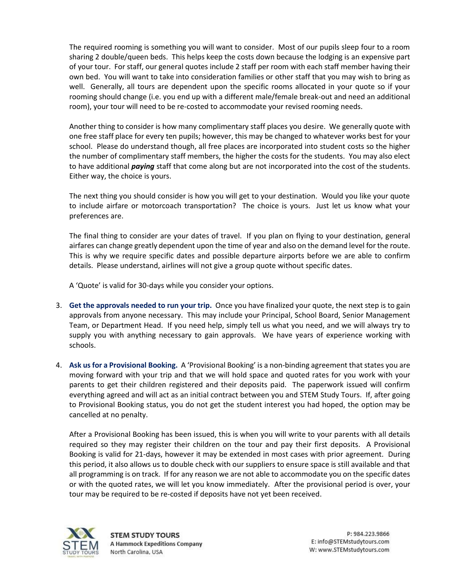The required rooming is something you will want to consider. Most of our pupils sleep four to a room sharing 2 double/queen beds. This helps keep the costs down because the lodging is an expensive part of your tour. For staff, our general quotes include 2 staff per room with each staff member having their own bed. You will want to take into consideration families or other staff that you may wish to bring as well. Generally, all tours are dependent upon the specific rooms allocated in your quote so if your rooming should change (i.e. you end up with a different male/female break-out and need an additional room), your tour will need to be re-costed to accommodate your revised rooming needs.

Another thing to consider is how many complimentary staff places you desire. We generally quote with one free staff place for every ten pupils; however, this may be changed to whatever works best for your school. Please do understand though, all free places are incorporated into student costs so the higher the number of complimentary staff members, the higher the costs for the students. You may also elect to have additional *paying* staff that come along but are not incorporated into the cost of the students. Either way, the choice is yours.

The next thing you should consider is how you will get to your destination. Would you like your quote to include airfare or motorcoach transportation? The choice is yours. Just let us know what your preferences are.

The final thing to consider are your dates of travel. If you plan on flying to your destination, general airfares can change greatly dependent upon the time of year and also on the demand level for the route. This is why we require specific dates and possible departure airports before we are able to confirm details. Please understand, airlines will not give a group quote without specific dates.

A 'Quote' is valid for 30-days while you consider your options.

- 3. **Get the approvals needed to run your trip.** Once you have finalized your quote, the next step is to gain approvals from anyone necessary. This may include your Principal, School Board, Senior Management Team, or Department Head. If you need help, simply tell us what you need, and we will always try to supply you with anything necessary to gain approvals. We have years of experience working with schools.
- 4. **Ask us for a Provisional Booking.** A 'Provisional Booking' is a non-binding agreement that states you are moving forward with your trip and that we will hold space and quoted rates for you work with your parents to get their children registered and their deposits paid. The paperwork issued will confirm everything agreed and will act as an initial contract between you and STEM Study Tours. If, after going to Provisional Booking status, you do not get the student interest you had hoped, the option may be cancelled at no penalty.

After a Provisional Booking has been issued, this is when you will write to your parents with all details required so they may register their children on the tour and pay their first deposits. A Provisional Booking is valid for 21-days, however it may be extended in most cases with prior agreement. During this period, it also allows us to double check with our suppliers to ensure space is still available and that all programming is on track. If for any reason we are not able to accommodate you on the specific dates or with the quoted rates, we will let you know immediately. After the provisional period is over, your tour may be required to be re-costed if deposits have not yet been received.

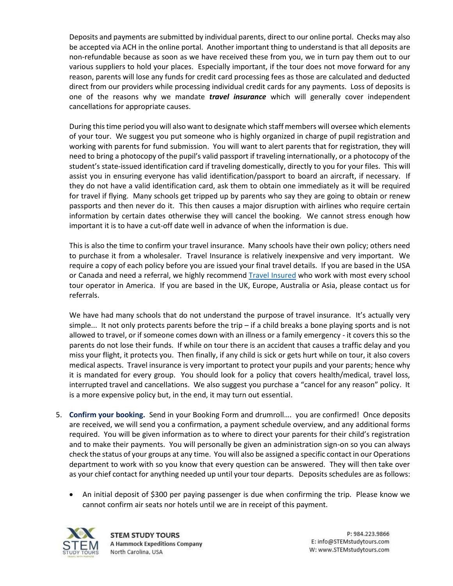Deposits and payments are submitted by individual parents, direct to our online portal. Checks may also be accepted via ACH in the online portal. Another important thing to understand is that all deposits are non-refundable because as soon as we have received these from you, we in turn pay them out to our various suppliers to hold your places. Especially important, if the tour does not move forward for any reason, parents will lose any funds for credit card processing fees as those are calculated and deducted direct from our providers while processing individual credit cards for any payments. Loss of deposits is one of the reasons why we mandate *travel insurance* which will generally cover independent cancellations for appropriate causes.

During this time period you will also want to designate which staff members will oversee which elements of your tour. We suggest you put someone who is highly organized in charge of pupil registration and working with parents for fund submission. You will want to alert parents that for registration, they will need to bring a photocopy of the pupil's valid passport if traveling internationally, or a photocopy of the student's state-issued identification card if traveling domestically, directly to you for your files. This will assist you in ensuring everyone has valid identification/passport to board an aircraft, if necessary. If they do not have a valid identification card, ask them to obtain one immediately as it will be required for travel if flying. Many schools get tripped up by parents who say they are going to obtain or renew passports and then never do it. This then causes a major disruption with airlines who require certain information by certain dates otherwise they will cancel the booking. We cannot stress enough how important it is to have a cut-off date well in advance of when the information is due.

This is also the time to confirm your travel insurance. Many schools have their own policy; others need to purchase it from a wholesaler. Travel Insurance is relatively inexpensive and very important. We require a copy of each policy before you are issued your final travel details. If you are based in the USA or Canada and need a referral, we highly recommend [Travel Insured](https://www.travelinsured.com/) who work with most every school tour operator in America. If you are based in the UK, Europe, Australia or Asia, please contact us for referrals.

We have had many schools that do not understand the purpose of travel insurance. It's actually very simple... It not only protects parents before the trip – if a child breaks a bone playing sports and is not allowed to travel, or if someone comes down with an illness or a family emergency - it covers this so the parents do not lose their funds. If while on tour there is an accident that causes a traffic delay and you miss your flight, it protects you. Then finally, if any child is sick or gets hurt while on tour, it also covers medical aspects. Travel insurance is very important to protect your pupils and your parents; hence why it is mandated for every group. You should look for a policy that covers health/medical, travel loss, interrupted travel and cancellations. We also suggest you purchase a "cancel for any reason" policy. It is a more expensive policy but, in the end, it may turn out essential.

- 5. **Confirm your booking.** Send in your Booking Form and drumroll…. you are confirmed! Once deposits are received, we will send you a confirmation, a payment schedule overview, and any additional forms required. You will be given information as to where to direct your parents for their child's registration and to make their payments. You will personally be given an administration sign-on so you can always check the status of your groups at any time. You will also be assigned a specific contact in our Operations department to work with so you know that every question can be answered. They will then take over as your chief contact for anything needed up until your tour departs. Deposits schedules are as follows:
	- An initial deposit of \$300 per paying passenger is due when confirming the trip. Please know we cannot confirm air seats nor hotels until we are in receipt of this payment.